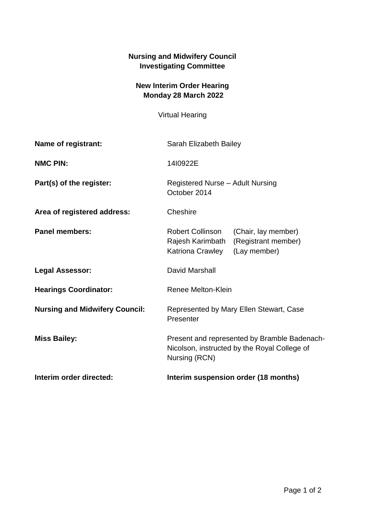## **Nursing and Midwifery Council Investigating Committee**

## **New Interim Order Hearing Monday 28 March 2022**

Virtual Hearing

| Name of registrant:                   | Sarah Elizabeth Bailey                                                                                                        |
|---------------------------------------|-------------------------------------------------------------------------------------------------------------------------------|
| <b>NMC PIN:</b>                       | 14I0922E                                                                                                                      |
| Part(s) of the register:              | <b>Registered Nurse - Adult Nursing</b><br>October 2014                                                                       |
| Area of registered address:           | Cheshire                                                                                                                      |
| <b>Panel members:</b>                 | <b>Robert Collinson</b><br>(Chair, lay member)<br>(Registrant member)<br>Rajesh Karimbath<br>Katriona Crawley<br>(Lay member) |
| <b>Legal Assessor:</b>                | David Marshall                                                                                                                |
| <b>Hearings Coordinator:</b>          | Renee Melton-Klein                                                                                                            |
| <b>Nursing and Midwifery Council:</b> | Represented by Mary Ellen Stewart, Case<br>Presenter                                                                          |
| <b>Miss Bailey:</b>                   | Present and represented by Bramble Badenach-<br>Nicolson, instructed by the Royal College of<br>Nursing (RCN)                 |
| Interim order directed:               | Interim suspension order (18 months)                                                                                          |